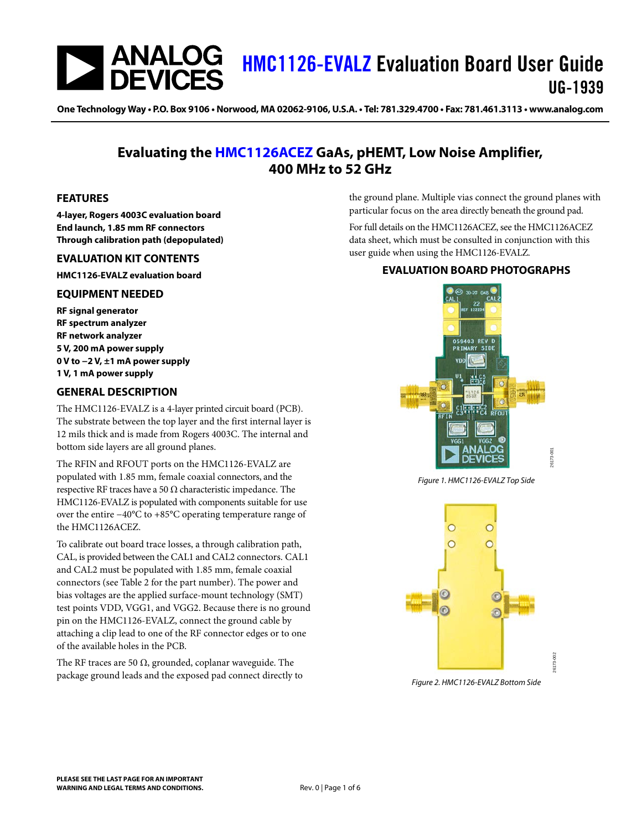## **ANALOG** [HMC1126-EVALZ](https://www.analog.com/EVAL-HMC1126?doc=HMC1126-EVALZ-UG-1939.pdf) Evaluation Board User Guide UG-1939

One Technology Way • P.O. Box 9106 • Norwood, MA 02062-9106, U.S.A. • Tel: 781.329.4700 • Fax: 781.461.3113 • www.analog.com

## **Evaluating the [HMC1126ACEZ](https://www.analog.com/HMC1126ACEZ?doc=HMC1126-EVALZ-UG-1939.pdf) GaAs, pHEMT, Low Noise Amplifier, 400 MHz to 52 GHz**

## <span id="page-0-0"></span>**FEATURES**

**4-layer, Rogers 4003C evaluation board End launch, 1.85 mm RF connectors Through calibration path (depopulated)**

## <span id="page-0-1"></span>**EVALUATION KIT CONTENTS**

**HMC1126-EVALZ evaluation board**

### <span id="page-0-2"></span>**EQUIPMENT NEEDED**

**RF signal generator RF spectrum analyzer RF network analyzer 5 V, 200 mA power supply 0 V to −2 V, ±1 mA power supply 1 V, 1 mA power supply**

## <span id="page-0-3"></span>**GENERAL DESCRIPTION**

The HMC1126-EVALZ is a 4-layer printed circuit board (PCB). The substrate between the top layer and the first internal layer is 12 mils thick and is made from Rogers 4003C. The internal and bottom side layers are all ground planes.

The RFIN and RFOUT ports on the HMC1126-EVALZ are populated with 1.85 mm, female coaxial connectors, and the respective RF traces have a 50  $\Omega$  characteristic impedance. The HMC1126-EVALZ is populated with components suitable for use over the entire −40°C to +85°C operating temperature range of the HMC1126ACEZ.

To calibrate out board trace losses, a through calibration path, CAL, is provided between the CAL1 and CAL2 connectors. CAL1 and CAL2 must be populated with 1.85 mm, female coaxial connectors (see [Table 2](#page-5-0) for the part number). The power and bias voltages are the applied surface-mount technology (SMT) test points VDD, VGG1, and VGG2. Because there is no ground pin on the HMC1126-EVALZ, connect the ground cable by attaching a clip lead to one of the RF connector edges or to one of the available holes in the PCB.

The RF traces are 50  $\Omega$ , grounded, coplanar waveguide. The package ground leads and the exposed pad connect directly to the ground plane. Multiple vias connect the ground planes with particular focus on the area directly beneath the ground pad.

For full details on the HMC1126ACEZ, see the HMC1126ACEZ data sheet, which must be consulted in conjunction with this user guide when using the HMC1126-EVALZ.

## <span id="page-0-4"></span>**EVALUATION BOARD PHOTOGRAPHS**



*Figure 1. HMC1126-EVALZ Top Side*



*Figure 2. HMC1126-EVALZ Bottom Side*

26173-002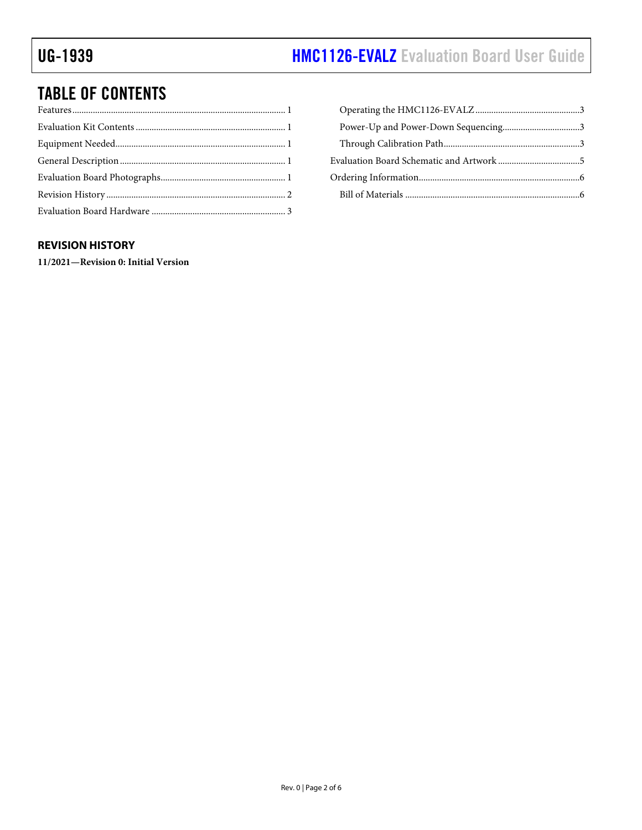# UG-1939 **[HMC1126-EVALZ](https://www.analog.com/EVAL-HMC1126?doc=HMC1126-EVALZ-UG-1939.pdf)** Evaluation Board User Guide

# TABLE OF CONTENTS

## <span id="page-1-0"></span>**REVISION HISTORY**

**11/2021—Revision 0: Initial Version**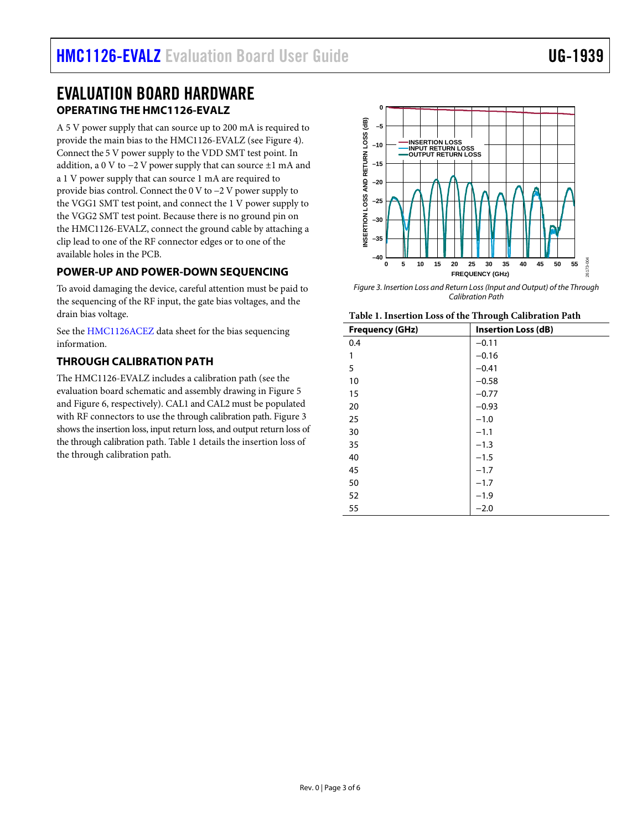## <span id="page-2-1"></span><span id="page-2-0"></span>EVALUATION BOARD HARDWARE **OPERATING THE HMC1126-EVALZ**

A 5 V power supply that can source up to 200 mA is required to provide the main bias to the HMC1126-EVALZ (se[e Figure 4\)](#page-3-0). Connect the 5 V power supply to the VDD SMT test point. In addition, a 0 V to  $-2$  V power supply that can source  $±1$  mA and a 1 V power supply that can source 1 mA are required to provide bias control. Connect the 0 V to −2 V power supply to the VGG1 SMT test point, and connect the 1 V power supply to the VGG2 SMT test point. Because there is no ground pin on the HMC1126-EVALZ, connect the ground cable by attaching a clip lead to one of the RF connector edges or to one of the available holes in the PCB.

## <span id="page-2-2"></span>**POWER-UP AND POWER-DOWN SEQUENCING**

To avoid damaging the device, careful attention must be paid to the sequencing of the RF input, the gate bias voltages, and the drain bias voltage.

See the [HMC1126ACEZ](https://www.analog.com/HMC1126ACEZ?doc=HMC1126-EVALZ-UG-1939.pdf) data sheet for the bias sequencing information.

## <span id="page-2-3"></span>**THROUGH CALIBRATION PATH**

The HMC1126-EVALZ includes a calibration path (see the evaluation board schematic and assembly drawing i[n Figure 5](#page-4-1) an[d Figure 6,](#page-4-2) respectively). CAL1 and CAL2 must be populated with RF connectors to use the through calibration path[. Figure 3](#page-2-4) shows the insertion loss, input return loss, and output return loss of the through calibration path. [Table 1](#page-2-5) details the insertion loss of the through calibration path.



<span id="page-2-4"></span>*Figure 3. Insertion Loss and Return Loss (Input and Output) of the Through Calibration Path*

<span id="page-2-5"></span>

|  | Table 1. Insertion Loss of the Through Calibration Path |  |
|--|---------------------------------------------------------|--|
|--|---------------------------------------------------------|--|

| <b>Frequency (GHz)</b> | ັ<br><b>Insertion Loss (dB)</b> |
|------------------------|---------------------------------|
| 0.4                    | $-0.11$                         |
| 1                      | $-0.16$                         |
| 5                      | $-0.41$                         |
| 10                     | $-0.58$                         |
| 15                     | $-0.77$                         |
| 20                     | $-0.93$                         |
| 25                     | $-1.0$                          |
| 30                     | $-1.1$                          |
| 35                     | $-1.3$                          |
| 40                     | $-1.5$                          |
| 45                     | $-1.7$                          |
| 50                     | $-1.7$                          |
| 52                     | $-1.9$                          |
| 55                     | $-2.0$                          |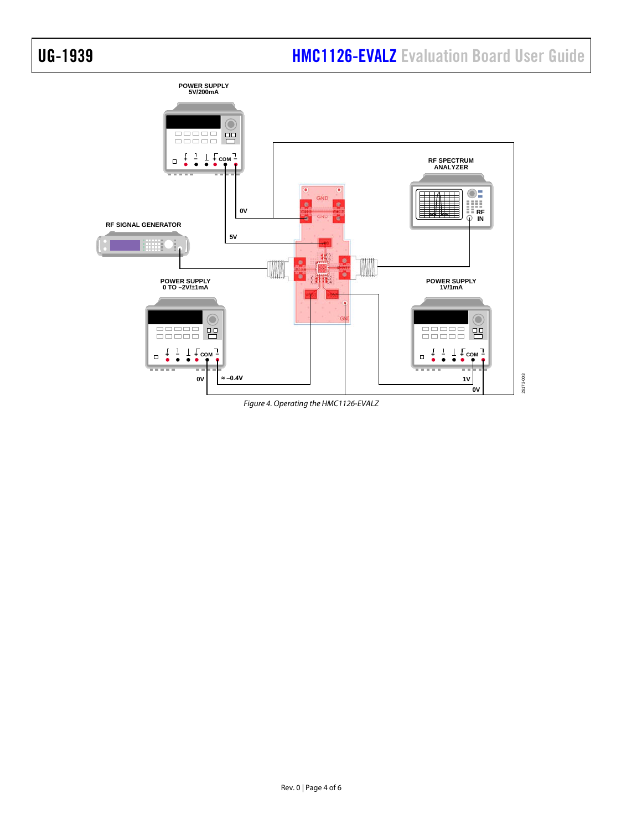

<span id="page-3-0"></span>*Figure 4. Operating the HMC1126-EVALZ*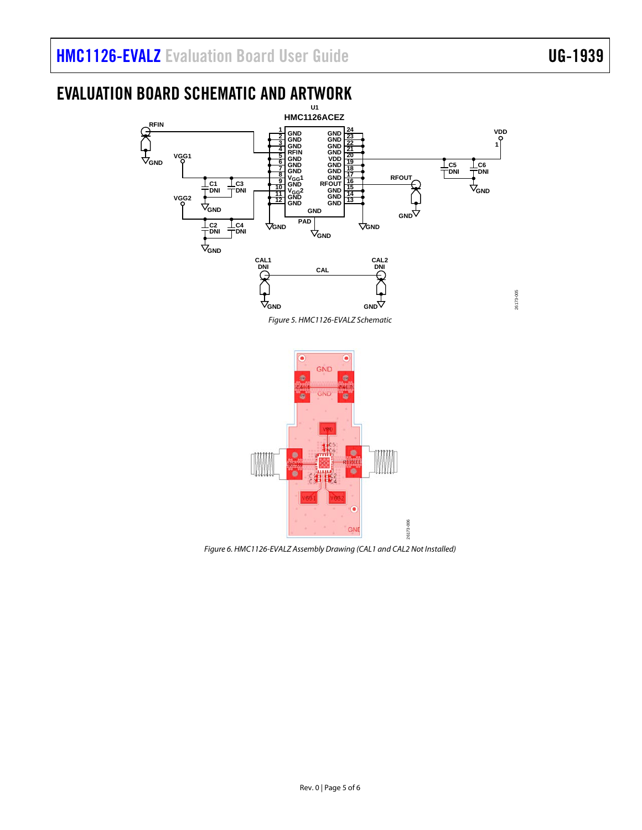26173-005

# <span id="page-4-0"></span>EVALUATION BOARD SCHEMATIC AND ARTWORK



<span id="page-4-1"></span>

<span id="page-4-2"></span>*Figure 6. HMC1126-EVALZ Assembly Drawing (CAL1 and CAL2 Not Installed)*

26173-006